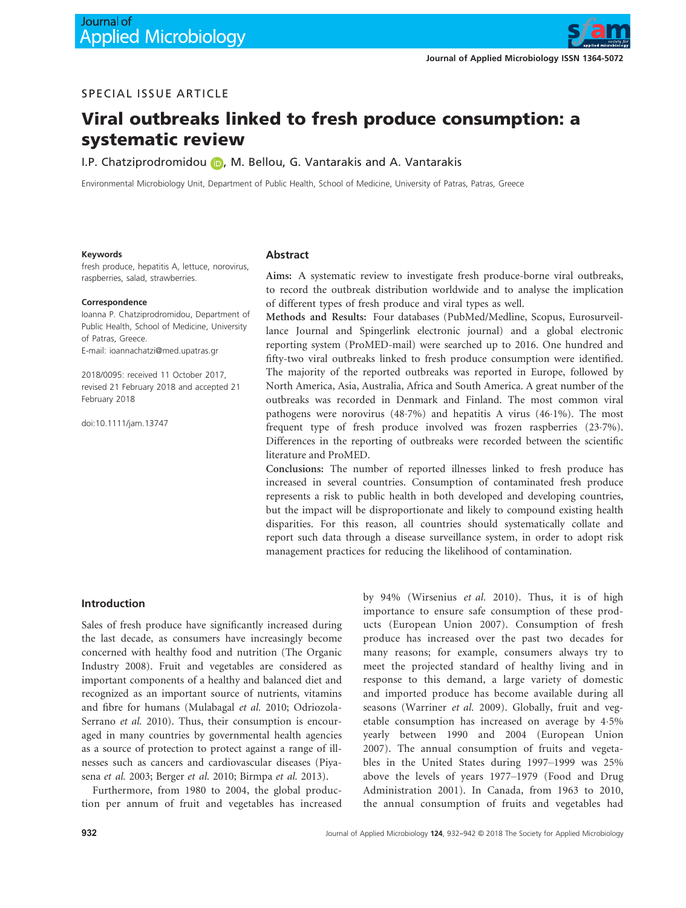

# SPECIAL ISSUE ARTICLE

# Viral outbreaks linked to fresh produce consumption: a systematic review

I.P. Chatziprodromidou (b), M. Bellou, G. Vantarakis and A. Vantarakis

Environmental Microbiology Unit, Department of Public Health, School of Medicine, University of Patras, Patras, Greece

#### Keywords

fresh produce, hepatitis A, lettuce, norovirus, raspberries, salad, strawberries.

#### Correspondence

Ioanna P. Chatziprodromidou, Department of Public Health, School of Medicine, University of Patras, Greece. E-mail: ioannachatzi@med.upatras.gr

2018/0095: received 11 October 2017, revised 21 February 2018 and accepted 21 February 2018

doi:10.1111/jam.13747

#### Abstract

Aims: A systematic review to investigate fresh produce-borne viral outbreaks, to record the outbreak distribution worldwide and to analyse the implication of different types of fresh produce and viral types as well.

Methods and Results: Four databases (PubMed/Medline, Scopus, Eurosurveillance Journal and Spingerlink electronic journal) and a global electronic reporting system (ProMED-mail) were searched up to 2016. One hundred and fifty-two viral outbreaks linked to fresh produce consumption were identified. The majority of the reported outbreaks was reported in Europe, followed by North America, Asia, Australia, Africa and South America. A great number of the outbreaks was recorded in Denmark and Finland. The most common viral pathogens were norovirus (487%) and hepatitis A virus (461%). The most frequent type of fresh produce involved was frozen raspberries (237%). Differences in the reporting of outbreaks were recorded between the scientific literature and ProMED.

Conclusions: The number of reported illnesses linked to fresh produce has increased in several countries. Consumption of contaminated fresh produce represents a risk to public health in both developed and developing countries, but the impact will be disproportionate and likely to compound existing health disparities. For this reason, all countries should systematically collate and report such data through a disease surveillance system, in order to adopt risk management practices for reducing the likelihood of contamination.

#### Introduction

Sales of fresh produce have significantly increased during the last decade, as consumers have increasingly become concerned with healthy food and nutrition (The Organic Industry 2008). Fruit and vegetables are considered as important components of a healthy and balanced diet and recognized as an important source of nutrients, vitamins and fibre for humans (Mulabagal et al. 2010; Odriozola-Serrano et al. 2010). Thus, their consumption is encouraged in many countries by governmental health agencies as a source of protection to protect against a range of illnesses such as cancers and cardiovascular diseases (Piyasena et al. 2003; Berger et al. 2010; Birmpa et al. 2013).

Furthermore, from 1980 to 2004, the global production per annum of fruit and vegetables has increased by 94% (Wirsenius et al. 2010). Thus, it is of high importance to ensure safe consumption of these products (European Union 2007). Consumption of fresh produce has increased over the past two decades for many reasons; for example, consumers always try to meet the projected standard of healthy living and in response to this demand, a large variety of domestic and imported produce has become available during all seasons (Warriner et al. 2009). Globally, fruit and vegetable consumption has increased on average by 45% yearly between 1990 and 2004 (European Union 2007). The annual consumption of fruits and vegetables in the United States during 1997–1999 was 25% above the levels of years 1977–1979 (Food and Drug Administration 2001). In Canada, from 1963 to 2010, the annual consumption of fruits and vegetables had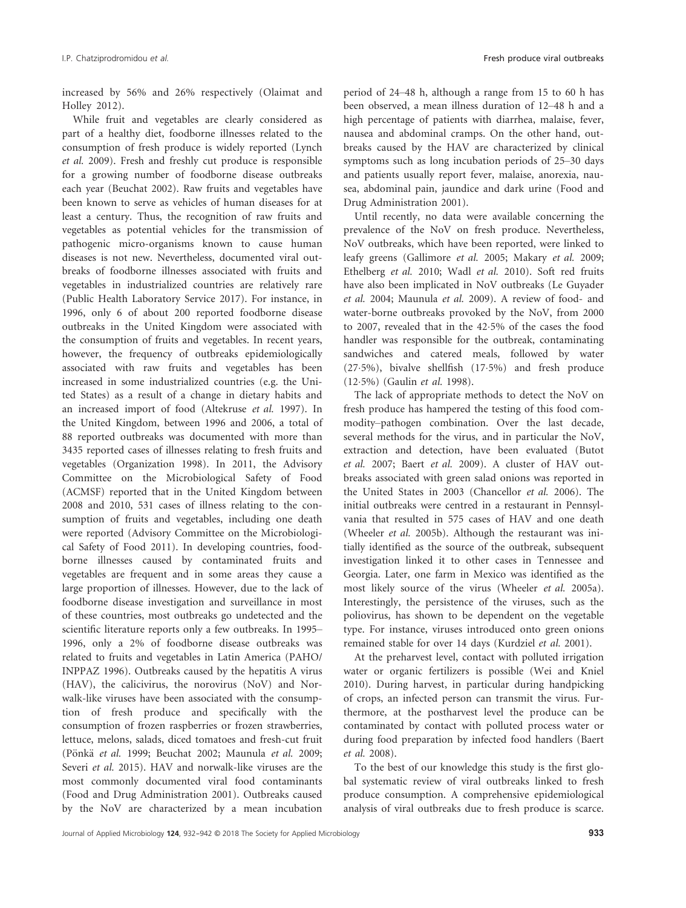increased by 56% and 26% respectively (Olaimat and Holley 2012).

While fruit and vegetables are clearly considered as part of a healthy diet, foodborne illnesses related to the consumption of fresh produce is widely reported (Lynch et al. 2009). Fresh and freshly cut produce is responsible for a growing number of foodborne disease outbreaks each year (Beuchat 2002). Raw fruits and vegetables have been known to serve as vehicles of human diseases for at least a century. Thus, the recognition of raw fruits and vegetables as potential vehicles for the transmission of pathogenic micro-organisms known to cause human diseases is not new. Nevertheless, documented viral outbreaks of foodborne illnesses associated with fruits and vegetables in industrialized countries are relatively rare (Public Health Laboratory Service 2017). For instance, in 1996, only 6 of about 200 reported foodborne disease outbreaks in the United Kingdom were associated with the consumption of fruits and vegetables. In recent years, however, the frequency of outbreaks epidemiologically associated with raw fruits and vegetables has been increased in some industrialized countries (e.g. the United States) as a result of a change in dietary habits and an increased import of food (Altekruse et al. 1997). In the United Kingdom, between 1996 and 2006, a total of 88 reported outbreaks was documented with more than 3435 reported cases of illnesses relating to fresh fruits and vegetables (Organization 1998). In 2011, the Advisory Committee on the Microbiological Safety of Food (ACMSF) reported that in the United Kingdom between 2008 and 2010, 531 cases of illness relating to the consumption of fruits and vegetables, including one death were reported (Advisory Committee on the Microbiological Safety of Food 2011). In developing countries, foodborne illnesses caused by contaminated fruits and vegetables are frequent and in some areas they cause a large proportion of illnesses. However, due to the lack of foodborne disease investigation and surveillance in most of these countries, most outbreaks go undetected and the scientific literature reports only a few outbreaks. In 1995– 1996, only a 2% of foodborne disease outbreaks was related to fruits and vegetables in Latin America (PAHO/ INPPAZ 1996). Outbreaks caused by the hepatitis A virus (HAV), the calicivirus, the norovirus (NoV) and Norwalk-like viruses have been associated with the consumption of fresh produce and specifically with the consumption of frozen raspberries or frozen strawberries, lettuce, melons, salads, diced tomatoes and fresh-cut fruit (Pönkä et al. 1999; Beuchat 2002; Maunula et al. 2009; Severi et al. 2015). HAV and norwalk-like viruses are the most commonly documented viral food contaminants (Food and Drug Administration 2001). Outbreaks caused by the NoV are characterized by a mean incubation

period of 24–48 h, although a range from 15 to 60 h has been observed, a mean illness duration of 12–48 h and a high percentage of patients with diarrhea, malaise, fever, nausea and abdominal cramps. On the other hand, outbreaks caused by the HAV are characterized by clinical symptoms such as long incubation periods of 25–30 days and patients usually report fever, malaise, anorexia, nausea, abdominal pain, jaundice and dark urine (Food and Drug Administration 2001).

Until recently, no data were available concerning the prevalence of the NoV on fresh produce. Nevertheless, NoV outbreaks, which have been reported, were linked to leafy greens (Gallimore et al. 2005; Makary et al. 2009; Ethelberg et al. 2010; Wadl et al. 2010). Soft red fruits have also been implicated in NoV outbreaks (Le Guyader et al. 2004; Maunula et al. 2009). A review of food- and water-borne outbreaks provoked by the NoV, from 2000 to 2007, revealed that in the 425% of the cases the food handler was responsible for the outbreak, contaminating sandwiches and catered meals, followed by water (275%), bivalve shellfish (175%) and fresh produce (125%) (Gaulin et al. 1998).

The lack of appropriate methods to detect the NoV on fresh produce has hampered the testing of this food commodity–pathogen combination. Over the last decade, several methods for the virus, and in particular the NoV, extraction and detection, have been evaluated (Butot et al. 2007; Baert et al. 2009). A cluster of HAV outbreaks associated with green salad onions was reported in the United States in 2003 (Chancellor et al. 2006). The initial outbreaks were centred in a restaurant in Pennsylvania that resulted in 575 cases of HAV and one death (Wheeler et al. 2005b). Although the restaurant was initially identified as the source of the outbreak, subsequent investigation linked it to other cases in Tennessee and Georgia. Later, one farm in Mexico was identified as the most likely source of the virus (Wheeler et al. 2005a). Interestingly, the persistence of the viruses, such as the poliovirus, has shown to be dependent on the vegetable type. For instance, viruses introduced onto green onions remained stable for over 14 days (Kurdziel et al. 2001).

At the preharvest level, contact with polluted irrigation water or organic fertilizers is possible (Wei and Kniel 2010). During harvest, in particular during handpicking of crops, an infected person can transmit the virus. Furthermore, at the postharvest level the produce can be contaminated by contact with polluted process water or during food preparation by infected food handlers (Baert et al. 2008).

To the best of our knowledge this study is the first global systematic review of viral outbreaks linked to fresh produce consumption. A comprehensive epidemiological analysis of viral outbreaks due to fresh produce is scarce.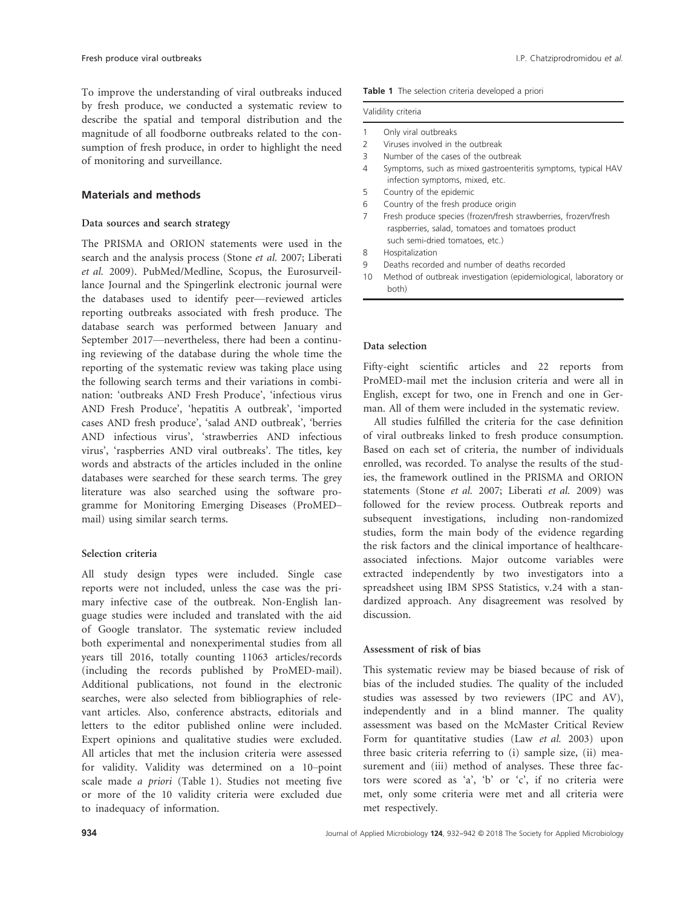To improve the understanding of viral outbreaks induced by fresh produce, we conducted a systematic review describe the spatial and temporal distribution and magnitude of all foodborne outbreaks related to the co sumption of fresh produce, in order to highlight the ne of monitoring and surveillance.

# Materials and methods

#### Data sources and search strategy

The PRISMA and ORION statements were used in the search and the analysis process (Stone et al. 2007; Liberati et al. 2009). PubMed/Medline, Scopus, the Eurosurveillance Journal and the Spingerlink electronic journal were the databases used to identify peer—reviewed articles reporting outbreaks associated with fresh produce. The database search was performed between January and September 2017—nevertheless, there had been a continuing reviewing of the database during the whole time the reporting of the systematic review was taking place using the following search terms and their variations in combination: 'outbreaks AND Fresh Produce', 'infectious virus AND Fresh Produce', 'hepatitis A outbreak', 'imported cases AND fresh produce', 'salad AND outbreak', 'berries AND infectious virus', 'strawberries AND infectious virus', 'raspberries AND viral outbreaks'. The titles, key words and abstracts of the articles included in the online databases were searched for these search terms. The grey literature was also searched using the software programme for Monitoring Emerging Diseases (ProMED– mail) using similar search terms.

## Selection criteria

All study design types were included. Single case reports were not included, unless the case was the primary infective case of the outbreak. Non-English language studies were included and translated with the aid of Google translator. The systematic review included both experimental and nonexperimental studies from all years till 2016, totally counting 11063 articles/records (including the records published by ProMED-mail). Additional publications, not found in the electronic searches, were also selected from bibliographies of relevant articles. Also, conference abstracts, editorials and letters to the editor published online were included. Expert opinions and qualitative studies were excluded. All articles that met the inclusion criteria were assessed for validity. Validity was determined on a 10–point scale made a priori (Table 1). Studies not meeting five or more of the 10 validity criteria were excluded due to inadequacy of information.

| Table 1 The selection criteria developed a priori |  |
|---------------------------------------------------|--|
|---------------------------------------------------|--|

|               | Validility criteria                                                                                                 |
|---------------|---------------------------------------------------------------------------------------------------------------------|
|               | Only viral outbreaks                                                                                                |
| $\mathcal{L}$ | Viruses involved in the outbreak                                                                                    |
| 3             | Number of the cases of the outbreak                                                                                 |
| 4             | Symptoms, such as mixed gastroenteritis symptoms, typical HAV<br>infection symptoms, mixed, etc.                    |
| 5             | Country of the epidemic                                                                                             |
| 6             | Country of the fresh produce origin                                                                                 |
|               | Fresh produce species (frozen/fresh strawberries, frozen/fresh<br>raspberries, salad, tomatoes and tomatoes product |

such semi-dried tomatoes, etc.)

- 9 Deaths recorded and number of deaths recorded
- 10 Method of outbreak investigation (epidemiological, laboratory or both)

## Data selection

Fifty-eight scientific articles and 22 reports from ProMED-mail met the inclusion criteria and were all in English, except for two, one in French and one in German. All of them were included in the systematic review.

All studies fulfilled the criteria for the case definition of viral outbreaks linked to fresh produce consumption. Based on each set of criteria, the number of individuals enrolled, was recorded. To analyse the results of the studies, the framework outlined in the PRISMA and ORION statements (Stone et al. 2007; Liberati et al. 2009) was followed for the review process. Outbreak reports and subsequent investigations, including non-randomized studies, form the main body of the evidence regarding the risk factors and the clinical importance of healthcareassociated infections. Major outcome variables were extracted independently by two investigators into a spreadsheet using IBM SPSS Statistics, v.24 with a standardized approach. Any disagreement was resolved by discussion.

#### Assessment of risk of bias

This systematic review may be biased because of risk of bias of the included studies. The quality of the included studies was assessed by two reviewers (IPC and AV), independently and in a blind manner. The quality assessment was based on the McMaster Critical Review Form for quantitative studies (Law et al. 2003) upon three basic criteria referring to (i) sample size, (ii) measurement and (iii) method of analyses. These three factors were scored as 'a', 'b' or 'c', if no criteria were met, only some criteria were met and all criteria were met respectively.

<sup>8</sup> Hospitalization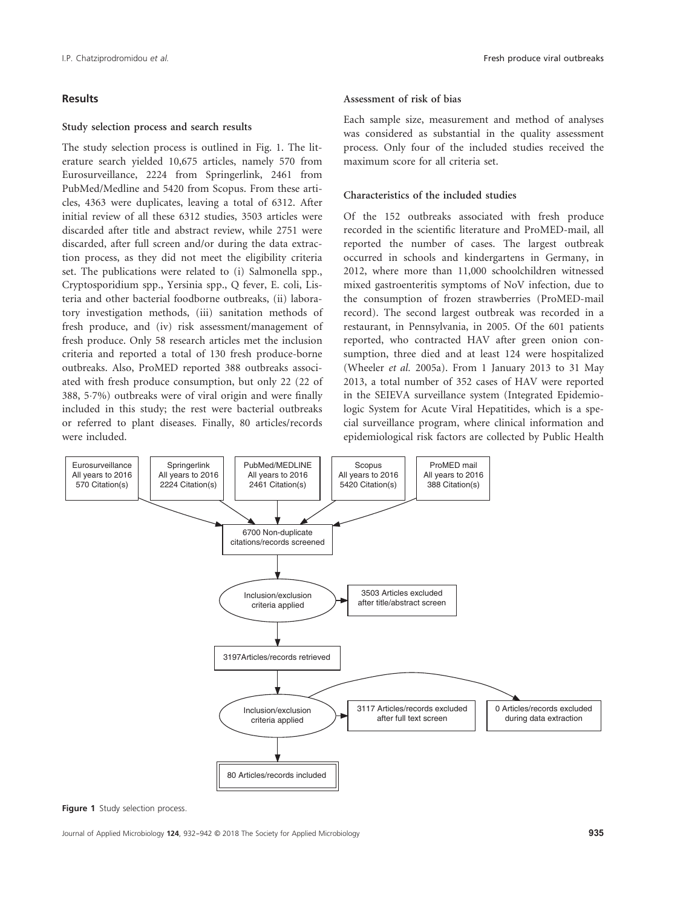# Results

## Study selection process and search results

The study selection process is outlined in Fig. 1. The literature search yielded 10,675 articles, namely 570 from Eurosurveillance, 2224 from Springerlink, 2461 from PubMed/Medline and 5420 from Scopus. From these articles, 4363 were duplicates, leaving a total of 6312. After initial review of all these 6312 studies, 3503 articles were discarded after title and abstract review, while 2751 were discarded, after full screen and/or during the data extraction process, as they did not meet the eligibility criteria set. The publications were related to (i) Salmonella spp., Cryptosporidium spp., Yersinia spp., Q fever, E. coli, Listeria and other bacterial foodborne outbreaks, (ii) laboratory investigation methods, (iii) sanitation methods of fresh produce, and (iv) risk assessment/management of fresh produce. Only 58 research articles met the inclusion criteria and reported a total of 130 fresh produce-borne outbreaks. Also, ProMED reported 388 outbreaks associated with fresh produce consumption, but only 22 (22 of 388, 57%) outbreaks were of viral origin and were finally included in this study; the rest were bacterial outbreaks or referred to plant diseases. Finally, 80 articles/records were included.

#### Assessment of risk of bias

Each sample size, measurement and method of analyses was considered as substantial in the quality assessment process. Only four of the included studies received the maximum score for all criteria set.

# Characteristics of the included studies

Of the 152 outbreaks associated with fresh produce recorded in the scientific literature and ProMED-mail, all reported the number of cases. The largest outbreak occurred in schools and kindergartens in Germany, in 2012, where more than 11,000 schoolchildren witnessed mixed gastroenteritis symptoms of NoV infection, due to the consumption of frozen strawberries (ProMED-mail record). The second largest outbreak was recorded in a restaurant, in Pennsylvania, in 2005. Of the 601 patients reported, who contracted HAV after green onion consumption, three died and at least 124 were hospitalized (Wheeler et al. 2005a). From 1 January 2013 to 31 May 2013, a total number of 352 cases of HAV were reported in the SEIEVA surveillance system (Integrated Epidemiologic System for Acute Viral Hepatitides, which is a special surveillance program, where clinical information and epidemiological risk factors are collected by Public Health



Figure 1 Study selection process.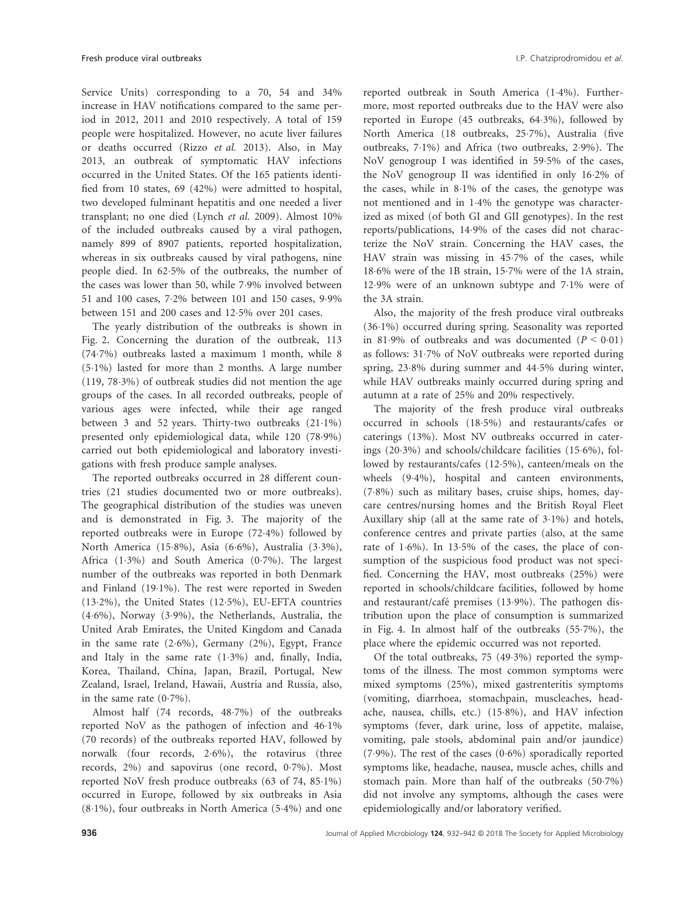Service Units) corresponding to a 70, 54 and 34% increase in HAV notifications compared to the same period in 2012, 2011 and 2010 respectively. A total of 159 people were hospitalized. However, no acute liver failures or deaths occurred (Rizzo et al. 2013). Also, in May 2013, an outbreak of symptomatic HAV infections occurred in the United States. Of the 165 patients identified from 10 states, 69 (42%) were admitted to hospital, two developed fulminant hepatitis and one needed a liver transplant; no one died (Lynch et al. 2009). Almost 10% of the included outbreaks caused by a viral pathogen, namely 899 of 8907 patients, reported hospitalization, whereas in six outbreaks caused by viral pathogens, nine people died. In 625% of the outbreaks, the number of the cases was lower than 50, while 79% involved between 51 and 100 cases, 72% between 101 and 150 cases, 99% between 151 and 200 cases and 125% over 201 cases.

The yearly distribution of the outbreaks is shown in Fig. 2. Concerning the duration of the outbreak, 113 (747%) outbreaks lasted a maximum 1 month, while 8 (51%) lasted for more than 2 months. A large number  $(119, 78.3%)$  of outbreak studies did not mention the age groups of the cases. In all recorded outbreaks, people of various ages were infected, while their age ranged between 3 and 52 years. Thirty-two outbreaks (211%) presented only epidemiological data, while 120 (789%) carried out both epidemiological and laboratory investigations with fresh produce sample analyses.

The reported outbreaks occurred in 28 different countries (21 studies documented two or more outbreaks). The geographical distribution of the studies was uneven and is demonstrated in Fig. 3. The majority of the reported outbreaks were in Europe (724%) followed by North America (158%), Asia (66%), Australia (33%), Africa (13%) and South America (07%). The largest number of the outbreaks was reported in both Denmark and Finland (191%). The rest were reported in Sweden (132%), the United States (125%), EU-EFTA countries (46%), Norway (39%), the Netherlands, Australia, the United Arab Emirates, the United Kingdom and Canada in the same rate  $(2.6\%)$ , Germany  $(2\%)$ , Egypt, France and Italy in the same rate (13%) and, finally, India, Korea, Thailand, China, Japan, Brazil, Portugal, New Zealand, Israel, Ireland, Hawaii, Austria and Russia, also, in the same rate  $(0.7\%)$ .

Almost half (74 records, 48.7%) of the outbreaks reported NoV as the pathogen of infection and 461% (70 records) of the outbreaks reported HAV, followed by norwalk (four records, 2.6%), the rotavirus (three records, 2%) and sapovirus (one record, 07%). Most reported NoV fresh produce outbreaks (63 of 74, 851%) occurred in Europe, followed by six outbreaks in Asia  $(8.1\%)$ , four outbreaks in North America  $(5.4\%)$  and one reported outbreak in South America (14%). Furthermore, most reported outbreaks due to the HAV were also reported in Europe (45 outbreaks, 643%), followed by North America (18 outbreaks, 257%), Australia (five outbreaks, 71%) and Africa (two outbreaks, 29%). The NoV genogroup I was identified in 59.5% of the cases, the NoV genogroup II was identified in only 162% of the cases, while in 81% of the cases, the genotype was not mentioned and in 14% the genotype was characterized as mixed (of both GI and GII genotypes). In the rest reports/publications, 149% of the cases did not characterize the NoV strain. Concerning the HAV cases, the HAV strain was missing in 457% of the cases, while 186% were of the 1B strain, 157% were of the 1A strain, 129% were of an unknown subtype and 71% were of the 3A strain.

Also, the majority of the fresh produce viral outbreaks  $(36.1\%)$  occurred during spring. Seasonality was reported in 81.9% of outbreaks and was documented  $(P < 0.01)$ as follows: 317% of NoV outbreaks were reported during spring, 238% during summer and 445% during winter, while HAV outbreaks mainly occurred during spring and autumn at a rate of 25% and 20% respectively.

The majority of the fresh produce viral outbreaks occurred in schools (185%) and restaurants/cafes or caterings (13%). Most NV outbreaks occurred in caterings (203%) and schools/childcare facilities (156%), followed by restaurants/cafes (125%), canteen/meals on the wheels (94%), hospital and canteen environments, (78%) such as military bases, cruise ships, homes, daycare centres/nursing homes and the British Royal Fleet Auxillary ship (all at the same rate of  $3.1\%$ ) and hotels, conference centres and private parties (also, at the same rate of 1.6%). In 13.5% of the cases, the place of consumption of the suspicious food product was not specified. Concerning the HAV, most outbreaks (25%) were reported in schools/childcare facilities, followed by home and restaurant/café premises (13.9%). The pathogen distribution upon the place of consumption is summarized in Fig. 4. In almost half of the outbreaks (557%), the place where the epidemic occurred was not reported.

Of the total outbreaks, 75 (493%) reported the symptoms of the illness. The most common symptoms were mixed symptoms (25%), mixed gastrenteritis symptoms (vomiting, diarrhoea, stomachpain, muscleaches, headache, nausea, chills, etc.) (158%), and HAV infection symptoms (fever, dark urine, loss of appetite, malaise, vomiting, pale stools, abdominal pain and/or jaundice)  $(7.9\%)$ . The rest of the cases  $(0.6\%)$  sporadically reported symptoms like, headache, nausea, muscle aches, chills and stomach pain. More than half of the outbreaks (507%) did not involve any symptoms, although the cases were epidemiologically and/or laboratory verified.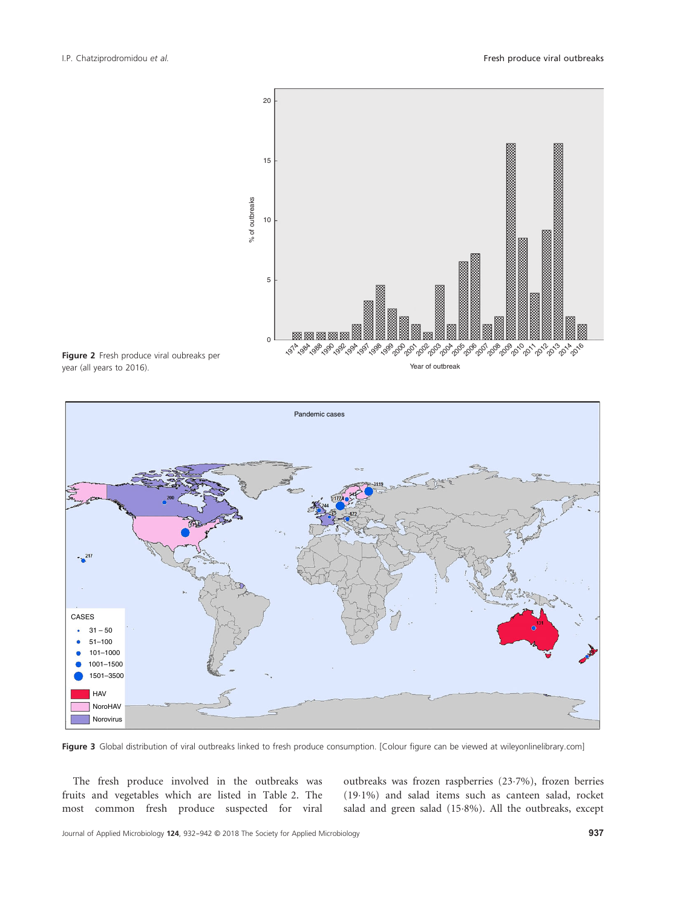

Figure 2 Fresh produce viral oubreaks per year (all years to 2016).



Figure 3 Global distribution of viral outbreaks linked to fresh produce consumption. [Colour figure can be viewed at wileyonlinelibrary.com]

The fresh produce involved in the outbreaks was fruits and vegetables which are listed in Table 2. The most common fresh produce suspected for viral outbreaks was frozen raspberries (237%), frozen berries (191%) and salad items such as canteen salad, rocket salad and green salad (158%). All the outbreaks, except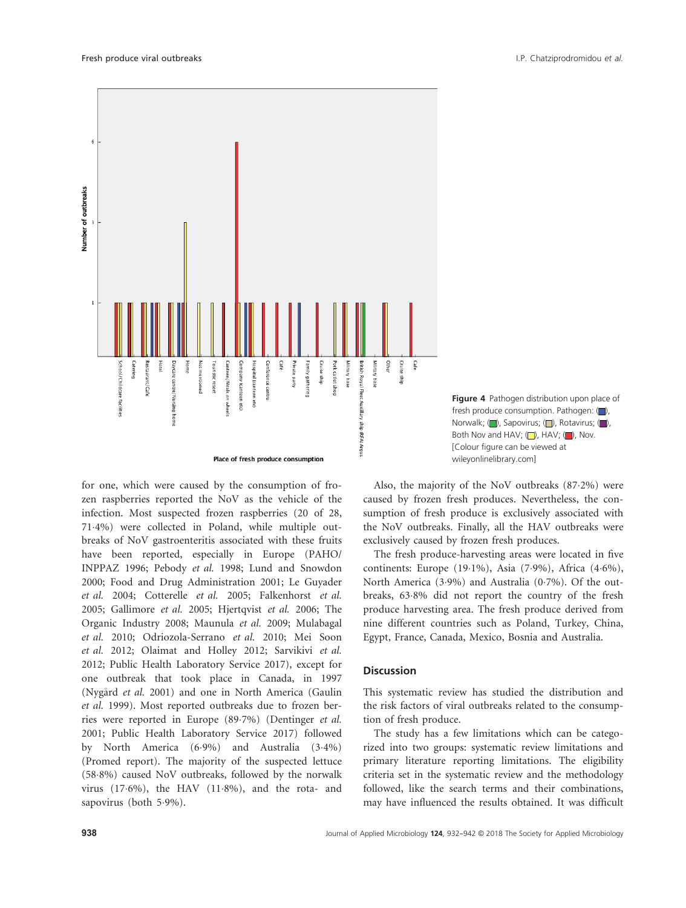

Figure 4 Pathogen distribution upon place of fresh produce consumption. Pathogen:  $\Box$ ), Norwalk; ( ), Sapovirus; ( ), Rotavirus; ( ), Both Nov and HAV;  $\Box$ ), HAV;  $\Box$ ), Nov. [Colour figure can be viewed at wileyonlinelibrary.com]

for one, which were caused by the consumption of frozen raspberries reported the NoV as the vehicle of the infection. Most suspected frozen raspberries (20 of 28, 714%) were collected in Poland, while multiple outbreaks of NoV gastroenteritis associated with these fruits have been reported, especially in Europe (PAHO/ INPPAZ 1996; Pebody et al. 1998; Lund and Snowdon 2000; Food and Drug Administration 2001; Le Guyader et al. 2004; Cotterelle et al. 2005; Falkenhorst et al. 2005; Gallimore et al. 2005; Hjertqvist et al. 2006; The Organic Industry 2008; Maunula et al. 2009; Mulabagal et al. 2010; Odriozola-Serrano et al. 2010; Mei Soon et al. 2012; Olaimat and Holley 2012; Sarvikivi et al. 2012; Public Health Laboratory Service 2017), except for one outbreak that took place in Canada, in 1997 (Nygard et al. 2001) and one in North America (Gaulin et al. 1999). Most reported outbreaks due to frozen berries were reported in Europe (897%) (Dentinger et al. 2001; Public Health Laboratory Service 2017) followed by North America (69%) and Australia (34%) (Promed report). The majority of the suspected lettuce (588%) caused NoV outbreaks, followed by the norwalk virus  $(17.6\%)$ , the HAV  $(11.8\%)$ , and the rota- and sapovirus (both 5.9%).

Also, the majority of the NoV outbreaks (872%) were caused by frozen fresh produces. Nevertheless, the consumption of fresh produce is exclusively associated with the NoV outbreaks. Finally, all the HAV outbreaks were exclusively caused by frozen fresh produces.

The fresh produce-harvesting areas were located in five continents: Europe (19 $\cdot$ 1%), Asia (7 $\cdot$ 9%), Africa (4 $\cdot$ 6%), North America (39%) and Australia (07%). Of the outbreaks, 638% did not report the country of the fresh produce harvesting area. The fresh produce derived from nine different countries such as Poland, Turkey, China, Egypt, France, Canada, Mexico, Bosnia and Australia.

## **Discussion**

This systematic review has studied the distribution and the risk factors of viral outbreaks related to the consumption of fresh produce.

The study has a few limitations which can be categorized into two groups: systematic review limitations and primary literature reporting limitations. The eligibility criteria set in the systematic review and the methodology followed, like the search terms and their combinations, may have influenced the results obtained. It was difficult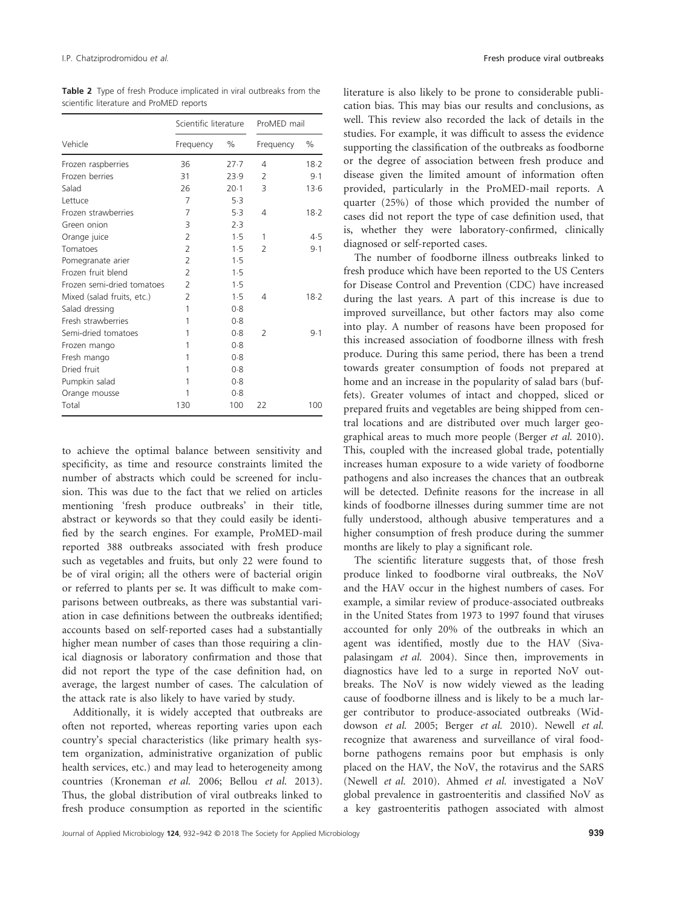Table 2 Type of fresh Produce implicated in viral outbreaks from the scientific literature and ProMED reports

|                            | Scientific literature |        | ProMED mail    |      |
|----------------------------|-----------------------|--------|----------------|------|
| Vehicle                    | Frequency             | %      | Frequency      | $\%$ |
| Frozen raspberries         | 36                    | 27.7   | 4              | 18.2 |
| Frozen berries             | 31                    | 23.9   | $\mathcal{L}$  | 9.1  |
| Salad                      | 26                    | $20-1$ | 3              | 13.6 |
| Lettuce                    | 7                     | 5.3    |                |      |
| Frozen strawberries        | 7                     | 5.3    | 4              | 18.2 |
| Green onion                | 3                     | 2.3    |                |      |
| Orange juice               | $\mathcal{P}$         | 1.5    | 1              | 4.5  |
| Tomatoes                   | $\overline{2}$        | 1.5    | $\mathcal{P}$  | 9.1  |
| Pomegranate arier          | $\overline{2}$        | 1.5    |                |      |
| Frozen fruit blend         | $\overline{2}$        | 1.5    |                |      |
| Frozen semi-dried tomatoes | $\overline{2}$        | 1.5    |                |      |
| Mixed (salad fruits, etc.) | $\overline{2}$        | 1.5    | 4              | 18.2 |
| Salad dressing             | 1                     | 0.8    |                |      |
| Fresh strawherries         | 1                     | 0.8    |                |      |
| Semi-dried tomatoes        | 1                     | 0.8    | $\overline{2}$ | 9.1  |
| Frozen mango               | 1                     | 0.8    |                |      |
| Fresh mango                | 1                     | 0.8    |                |      |
| Dried fruit                | 1                     | 0.8    |                |      |
| Pumpkin salad              | 1                     | 0.8    |                |      |
| Orange mousse              | 1                     | 0.8    |                |      |
| Total                      | 130                   | 100    | 22             | 100  |

to achieve the optimal balance between sensitivity and specificity, as time and resource constraints limited the number of abstracts which could be screened for inclusion. This was due to the fact that we relied on articles mentioning 'fresh produce outbreaks' in their title, abstract or keywords so that they could easily be identified by the search engines. For example, ProMED-mail reported 388 outbreaks associated with fresh produce such as vegetables and fruits, but only 22 were found to be of viral origin; all the others were of bacterial origin or referred to plants per se. It was difficult to make comparisons between outbreaks, as there was substantial variation in case definitions between the outbreaks identified; accounts based on self-reported cases had a substantially higher mean number of cases than those requiring a clinical diagnosis or laboratory confirmation and those that did not report the type of the case definition had, on average, the largest number of cases. The calculation of the attack rate is also likely to have varied by study.

Additionally, it is widely accepted that outbreaks are often not reported, whereas reporting varies upon each country's special characteristics (like primary health system organization, administrative organization of public health services, etc.) and may lead to heterogeneity among countries (Kroneman et al. 2006; Bellou et al. 2013). Thus, the global distribution of viral outbreaks linked to fresh produce consumption as reported in the scientific

literature is also likely to be prone to considerable publication bias. This may bias our results and conclusions, as well. This review also recorded the lack of details in the studies. For example, it was difficult to assess the evidence supporting the classification of the outbreaks as foodborne or the degree of association between fresh produce and disease given the limited amount of information often provided, particularly in the ProMED-mail reports. A quarter (25%) of those which provided the number of cases did not report the type of case definition used, that is, whether they were laboratory-confirmed, clinically diagnosed or self-reported cases.

The number of foodborne illness outbreaks linked to fresh produce which have been reported to the US Centers for Disease Control and Prevention (CDC) have increased during the last years. A part of this increase is due to improved surveillance, but other factors may also come into play. A number of reasons have been proposed for this increased association of foodborne illness with fresh produce. During this same period, there has been a trend towards greater consumption of foods not prepared at home and an increase in the popularity of salad bars (buffets). Greater volumes of intact and chopped, sliced or prepared fruits and vegetables are being shipped from central locations and are distributed over much larger geographical areas to much more people (Berger et al. 2010). This, coupled with the increased global trade, potentially increases human exposure to a wide variety of foodborne pathogens and also increases the chances that an outbreak will be detected. Definite reasons for the increase in all kinds of foodborne illnesses during summer time are not fully understood, although abusive temperatures and a higher consumption of fresh produce during the summer months are likely to play a significant role.

The scientific literature suggests that, of those fresh produce linked to foodborne viral outbreaks, the NoV and the HAV occur in the highest numbers of cases. For example, a similar review of produce-associated outbreaks in the United States from 1973 to 1997 found that viruses accounted for only 20% of the outbreaks in which an agent was identified, mostly due to the HAV (Sivapalasingam et al. 2004). Since then, improvements in diagnostics have led to a surge in reported NoV outbreaks. The NoV is now widely viewed as the leading cause of foodborne illness and is likely to be a much larger contributor to produce-associated outbreaks (Widdowson et al. 2005; Berger et al. 2010). Newell et al. recognize that awareness and surveillance of viral foodborne pathogens remains poor but emphasis is only placed on the HAV, the NoV, the rotavirus and the SARS (Newell et al. 2010). Ahmed et al. investigated a NoV global prevalence in gastroenteritis and classified NoV as a key gastroenteritis pathogen associated with almost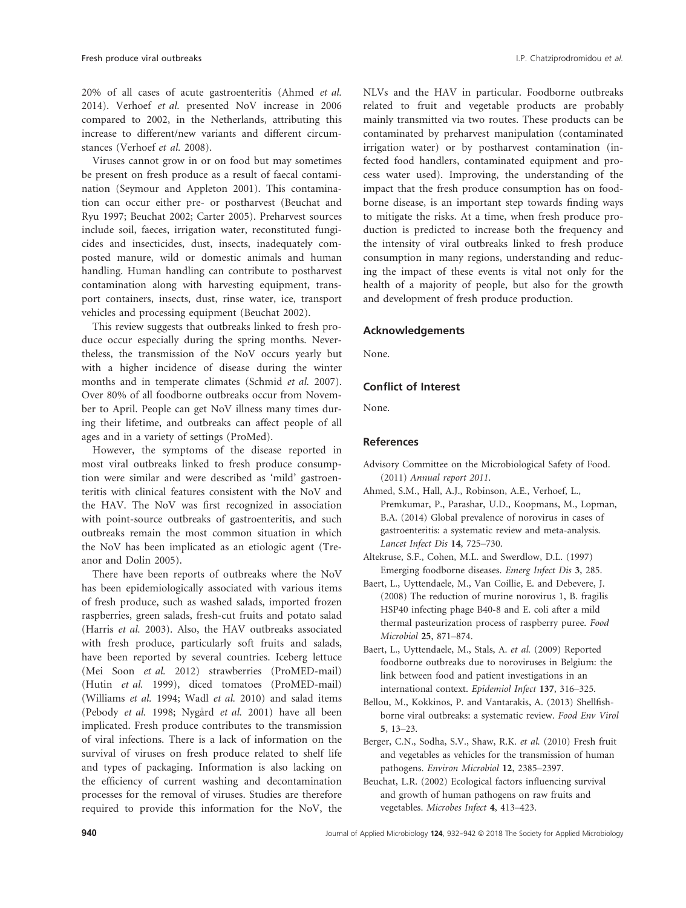20% of all cases of acute gastroenteritis (Ahmed et al. 2014). Verhoef et al. presented NoV increase in 2006 compared to 2002, in the Netherlands, attributing this increase to different/new variants and different circumstances (Verhoef et al. 2008).

Viruses cannot grow in or on food but may sometimes be present on fresh produce as a result of faecal contamination (Seymour and Appleton 2001). This contamination can occur either pre- or postharvest (Beuchat and Ryu 1997; Beuchat 2002; Carter 2005). Preharvest sources include soil, faeces, irrigation water, reconstituted fungicides and insecticides, dust, insects, inadequately composted manure, wild or domestic animals and human handling. Human handling can contribute to postharvest contamination along with harvesting equipment, transport containers, insects, dust, rinse water, ice, transport vehicles and processing equipment (Beuchat 2002).

This review suggests that outbreaks linked to fresh produce occur especially during the spring months. Nevertheless, the transmission of the NoV occurs yearly but with a higher incidence of disease during the winter months and in temperate climates (Schmid et al. 2007). Over 80% of all foodborne outbreaks occur from November to April. People can get NoV illness many times during their lifetime, and outbreaks can affect people of all ages and in a variety of settings (ProMed).

However, the symptoms of the disease reported in most viral outbreaks linked to fresh produce consumption were similar and were described as 'mild' gastroenteritis with clinical features consistent with the NoV and the HAV. The NoV was first recognized in association with point-source outbreaks of gastroenteritis, and such outbreaks remain the most common situation in which the NoV has been implicated as an etiologic agent (Treanor and Dolin 2005).

There have been reports of outbreaks where the NoV has been epidemiologically associated with various items of fresh produce, such as washed salads, imported frozen raspberries, green salads, fresh-cut fruits and potato salad (Harris et al. 2003). Also, the HAV outbreaks associated with fresh produce, particularly soft fruits and salads, have been reported by several countries. Iceberg lettuce (Mei Soon et al. 2012) strawberries (ProMED-mail) (Hutin et al. 1999), diced tomatoes (ProMED-mail) (Williams et al. 1994; Wadl et al. 2010) and salad items (Pebody et al. 1998; Nygård et al. 2001) have all been implicated. Fresh produce contributes to the transmission of viral infections. There is a lack of information on the survival of viruses on fresh produce related to shelf life and types of packaging. Information is also lacking on the efficiency of current washing and decontamination processes for the removal of viruses. Studies are therefore required to provide this information for the NoV, the NLVs and the HAV in particular. Foodborne outbreaks related to fruit and vegetable products are probably mainly transmitted via two routes. These products can be contaminated by preharvest manipulation (contaminated irrigation water) or by postharvest contamination (infected food handlers, contaminated equipment and process water used). Improving, the understanding of the impact that the fresh produce consumption has on foodborne disease, is an important step towards finding ways to mitigate the risks. At a time, when fresh produce production is predicted to increase both the frequency and the intensity of viral outbreaks linked to fresh produce consumption in many regions, understanding and reducing the impact of these events is vital not only for the health of a majority of people, but also for the growth and development of fresh produce production.

## Acknowledgements

None.

# Conflict of Interest

None.

# References

- Advisory Committee on the Microbiological Safety of Food. (2011) Annual report 2011.
- Ahmed, S.M., Hall, A.J., Robinson, A.E., Verhoef, L., Premkumar, P., Parashar, U.D., Koopmans, M., Lopman, B.A. (2014) Global prevalence of norovirus in cases of gastroenteritis: a systematic review and meta-analysis. Lancet Infect Dis 14, 725–730.
- Altekruse, S.F., Cohen, M.L. and Swerdlow, D.L. (1997) Emerging foodborne diseases. Emerg Infect Dis 3, 285.
- Baert, L., Uyttendaele, M., Van Coillie, E. and Debevere, J. (2008) The reduction of murine norovirus 1, B. fragilis HSP40 infecting phage B40-8 and E. coli after a mild thermal pasteurization process of raspberry puree. Food Microbiol 25, 871–874.
- Baert, L., Uyttendaele, M., Stals, A. et al. (2009) Reported foodborne outbreaks due to noroviruses in Belgium: the link between food and patient investigations in an international context. Epidemiol Infect 137, 316–325.
- Bellou, M., Kokkinos, P. and Vantarakis, A. (2013) Shellfishborne viral outbreaks: a systematic review. Food Env Virol 5, 13–23.
- Berger, C.N., Sodha, S.V., Shaw, R.K. et al. (2010) Fresh fruit and vegetables as vehicles for the transmission of human pathogens. Environ Microbiol 12, 2385–2397.
- Beuchat, L.R. (2002) Ecological factors influencing survival and growth of human pathogens on raw fruits and vegetables. Microbes Infect 4, 413–423.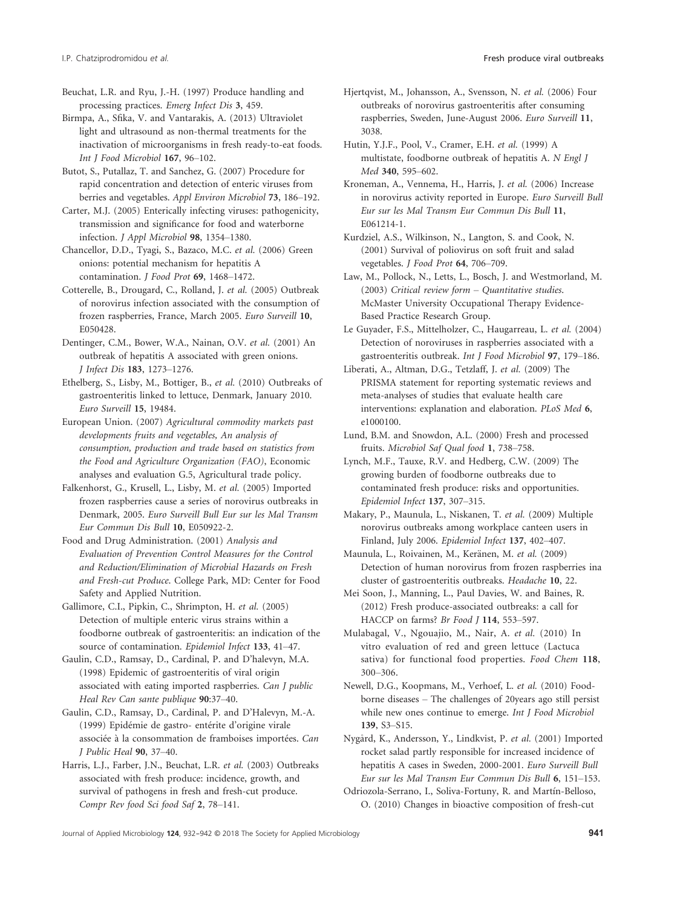Beuchat, L.R. and Ryu, J.-H. (1997) Produce handling and processing practices. Emerg Infect Dis 3, 459.

Birmpa, A., Sfika, V. and Vantarakis, A. (2013) Ultraviolet light and ultrasound as non-thermal treatments for the inactivation of microorganisms in fresh ready-to-eat foods. Int J Food Microbiol 167, 96–102.

Butot, S., Putallaz, T. and Sanchez, G. (2007) Procedure for rapid concentration and detection of enteric viruses from berries and vegetables. Appl Environ Microbiol 73, 186–192.

Carter, M.J. (2005) Enterically infecting viruses: pathogenicity, transmission and significance for food and waterborne infection. J Appl Microbiol 98, 1354–1380.

Chancellor, D.D., Tyagi, S., Bazaco, M.C. et al. (2006) Green onions: potential mechanism for hepatitis A contamination. J Food Prot 69, 1468–1472.

Cotterelle, B., Drougard, C., Rolland, J. et al. (2005) Outbreak of norovirus infection associated with the consumption of frozen raspberries, France, March 2005. Euro Surveill 10, E050428.

Dentinger, C.M., Bower, W.A., Nainan, O.V. et al. (2001) An outbreak of hepatitis A associated with green onions. J Infect Dis 183, 1273–1276.

Ethelberg, S., Lisby, M., Bottiger, B., et al. (2010) Outbreaks of gastroenteritis linked to lettuce, Denmark, January 2010. Euro Surveill 15, 19484.

European Union. (2007) Agricultural commodity markets past developments fruits and vegetables, An analysis of consumption, production and trade based on statistics from the Food and Agriculture Organization (FAO), Economic analyses and evaluation G.5, Agricultural trade policy.

Falkenhorst, G., Krusell, L., Lisby, M. et al. (2005) Imported frozen raspberries cause a series of norovirus outbreaks in Denmark, 2005. Euro Surveill Bull Eur sur les Mal Transm Eur Commun Dis Bull 10, E050922-2.

Food and Drug Administration. (2001) Analysis and Evaluation of Prevention Control Measures for the Control and Reduction/Elimination of Microbial Hazards on Fresh and Fresh-cut Produce. College Park, MD: Center for Food Safety and Applied Nutrition.

Gallimore, C.I., Pipkin, C., Shrimpton, H. et al. (2005) Detection of multiple enteric virus strains within a foodborne outbreak of gastroenteritis: an indication of the source of contamination. Epidemiol Infect 133, 41–47.

Gaulin, C.D., Ramsay, D., Cardinal, P. and D'halevyn, M.A. (1998) Epidemic of gastroenteritis of viral origin associated with eating imported raspberries. Can J public Heal Rev Can sante publique 90:37–40.

Gaulin, C.D., Ramsay, D., Cardinal, P. and D'Halevyn, M.-A. (1999) Epidémie de gastro- entérite d'origine virale associée à la consommation de framboises importées. Can J Public Heal 90, 37–40.

Harris, L.J., Farber, J.N., Beuchat, L.R. et al. (2003) Outbreaks associated with fresh produce: incidence, growth, and survival of pathogens in fresh and fresh-cut produce. Compr Rev food Sci food Saf 2, 78–141.

Hjertqvist, M., Johansson, A., Svensson, N. et al. (2006) Four outbreaks of norovirus gastroenteritis after consuming raspberries, Sweden, June-August 2006. Euro Surveill 11, 3038.

Hutin, Y.J.F., Pool, V., Cramer, E.H. et al. (1999) A multistate, foodborne outbreak of hepatitis A. N Engl J Med 340, 595–602.

Kroneman, A., Vennema, H., Harris, J. et al. (2006) Increase in norovirus activity reported in Europe. Euro Surveill Bull Eur sur les Mal Transm Eur Commun Dis Bull 11, E061214-1.

Kurdziel, A.S., Wilkinson, N., Langton, S. and Cook, N. (2001) Survival of poliovirus on soft fruit and salad vegetables. J Food Prot 64, 706–709.

Law, M., Pollock, N., Letts, L., Bosch, J. and Westmorland, M. (2003) Critical review form – Quantitative studies. McMaster University Occupational Therapy Evidence-Based Practice Research Group.

Le Guyader, F.S., Mittelholzer, C., Haugarreau, L. et al. (2004) Detection of noroviruses in raspberries associated with a gastroenteritis outbreak. Int J Food Microbiol 97, 179–186.

Liberati, A., Altman, D.G., Tetzlaff, J. et al. (2009) The PRISMA statement for reporting systematic reviews and meta-analyses of studies that evaluate health care interventions: explanation and elaboration. PLoS Med 6, e1000100.

Lund, B.M. and Snowdon, A.L. (2000) Fresh and processed fruits. Microbiol Saf Qual food 1, 738–758.

Lynch, M.F., Tauxe, R.V. and Hedberg, C.W. (2009) The growing burden of foodborne outbreaks due to contaminated fresh produce: risks and opportunities. Epidemiol Infect 137, 307–315.

Makary, P., Maunula, L., Niskanen, T. et al. (2009) Multiple norovirus outbreaks among workplace canteen users in Finland, July 2006. Epidemiol Infect 137, 402–407.

Maunula, L., Roivainen, M., Keränen, M. et al. (2009) Detection of human norovirus from frozen raspberries ina cluster of gastroenteritis outbreaks. Headache 10, 22.

Mei Soon, J., Manning, L., Paul Davies, W. and Baines, R. (2012) Fresh produce-associated outbreaks: a call for HACCP on farms? Br Food J 114, 553-597.

Mulabagal, V., Ngouajio, M., Nair, A. et al. (2010) In vitro evaluation of red and green lettuce (Lactuca sativa) for functional food properties. Food Chem 118, 300–306.

Newell, D.G., Koopmans, M., Verhoef, L. et al. (2010) Foodborne diseases – The challenges of 20years ago still persist while new ones continue to emerge. Int J Food Microbiol 139, S3–S15.

Nygard, K., Andersson, Y., Lindkvist, P. et al. (2001) Imported rocket salad partly responsible for increased incidence of hepatitis A cases in Sweden, 2000-2001. Euro Surveill Bull Eur sur les Mal Transm Eur Commun Dis Bull 6, 151–153.

Odriozola-Serrano, I., Soliva-Fortuny, R. and Martín-Belloso, O. (2010) Changes in bioactive composition of fresh-cut